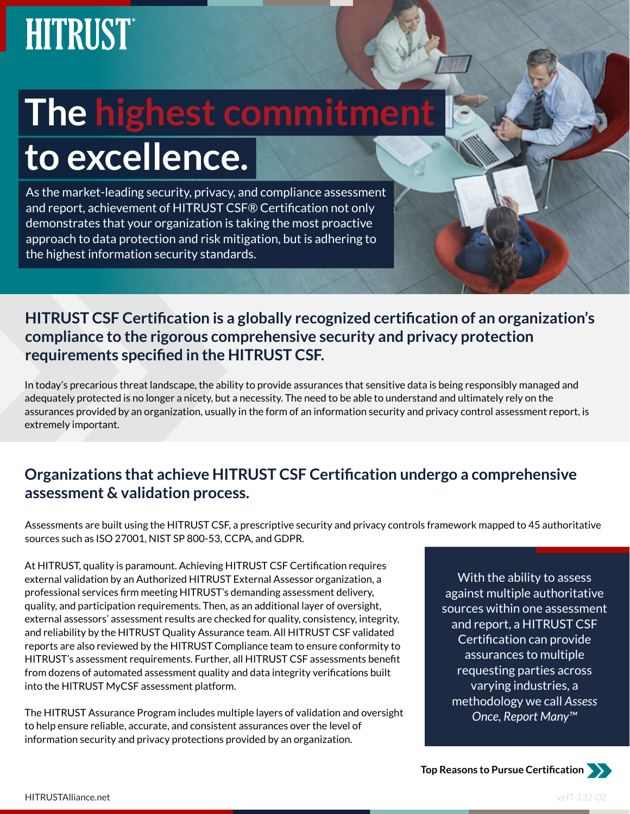# **HITRUST®**

## **The highest commitment to excellence.**

### As the market-leading security, privacy, and compliance assessment and report, achievement of HITRUST CSF® Certification not only demonstrates that your organization is taking the most proactive

the highest information security standards.

approach to data protection and risk mitigation, but is adhering to

**HITRUST CSF Certification is a globally recognized certification of an organization's compliance to the rigorous comprehensive security and privacy protection requirements specified in the HITRUST CSF.**

In today's precarious threat landscape, the ability to provide assurances that sensitive data is being responsibly managed and adequately protected is no longer a nicety, but a necessity. The need to be able to understand and ultimately rely on the assurances provided by an organization, usually in the form of an information security and privacy control assessment report, is extremely important.

#### **Organizations that achieve HITRUST CSF Certification undergo a comprehensive assessment & validation process.**

Assessments are built using the HITRUST CSF, a prescriptive security and privacy controls framework mapped to 45 authoritative sources such as ISO 27001, NIST SP 800-53, CCPA, and GDPR.

At HITRUST, quality is paramount. Achieving HITRUST CSF Certification requires external validation by an Authorized HITRUST External Assessor organization, a professional services firm meeting HITRUST's demanding assessment delivery, quality, and participation requirements. Then, as an additional layer of oversight, external assessors' assessment results are checked for quality, consistency, integrity, and reliability by the HITRUST Quality Assurance team. All HITRUST CSF validated reports are also reviewed by the HITRUST Compliance team to ensure conformity to HITRUST's assessment requirements. Further, all HITRUST CSF assessments benefit from dozens of automated assessment quality and data integrity verifications built into the HITRUST MyCSF assessment platform.

The HITRUST Assurance Program includes multiple layers of validation and oversight to help ensure reliable, accurate, and consistent assurances over the level of information security and privacy protections provided by an organization.

With the ability to assess against multiple authoritative sources within one assessment and report, a HITRUST CSF Certification can provide assurances to multiple requesting parties across varying industries, a methodology we call *Assess Once, Report Many™*

**Top Reasons to Pursue Certification**